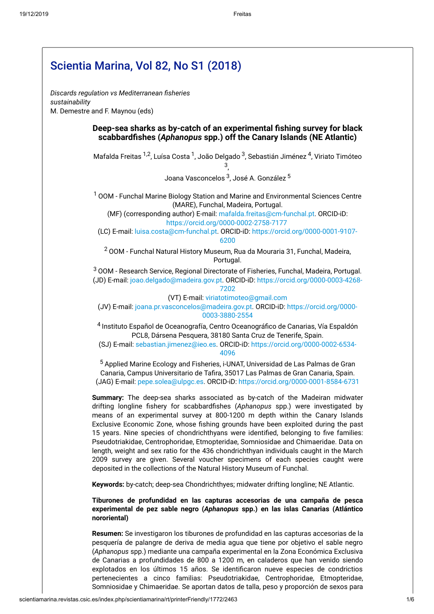$\sqrt{ }$ 

|                | Discards regulation vs Mediterranean fisheries                                                                                                                                                                                                                                                                                                                                                                                                                                                                                                                                                                                                                                                                                                                                  |
|----------------|---------------------------------------------------------------------------------------------------------------------------------------------------------------------------------------------------------------------------------------------------------------------------------------------------------------------------------------------------------------------------------------------------------------------------------------------------------------------------------------------------------------------------------------------------------------------------------------------------------------------------------------------------------------------------------------------------------------------------------------------------------------------------------|
| sustainability | M. Demestre and F. Maynou (eds)                                                                                                                                                                                                                                                                                                                                                                                                                                                                                                                                                                                                                                                                                                                                                 |
|                | Deep-sea sharks as by-catch of an experimental fishing survey for black<br>scabbardfishes (Aphanopus spp.) off the Canary Islands (NE Atlantic)                                                                                                                                                                                                                                                                                                                                                                                                                                                                                                                                                                                                                                 |
|                | Mafalda Freitas <sup>1,2</sup> , Luísa Costa <sup>1</sup> , João Delgado <sup>3</sup> , Sebastián Jiménez <sup>4</sup> , Viriato Timóteo<br>3,                                                                                                                                                                                                                                                                                                                                                                                                                                                                                                                                                                                                                                  |
|                | Joana Vasconcelos <sup>3</sup> , José A. González <sup>5</sup>                                                                                                                                                                                                                                                                                                                                                                                                                                                                                                                                                                                                                                                                                                                  |
|                | <sup>1</sup> OOM - Funchal Marine Biology Station and Marine and Environmental Sciences Centre<br>(MARE), Funchal, Madeira, Portugal.<br>(MF) (corresponding author) E-mail: mafalda.freitas@cm-funchal.pt. ORCID-iD:<br>https://orcid.org/0000-0002-2758-7177                                                                                                                                                                                                                                                                                                                                                                                                                                                                                                                  |
|                | (LC) E-mail: luisa.costa@cm-funchal.pt. ORCID-iD: https://orcid.org/0000-0001-9107-<br>6200                                                                                                                                                                                                                                                                                                                                                                                                                                                                                                                                                                                                                                                                                     |
|                | <sup>2</sup> OOM - Funchal Natural History Museum, Rua da Mouraria 31, Funchal, Madeira,<br>Portugal.                                                                                                                                                                                                                                                                                                                                                                                                                                                                                                                                                                                                                                                                           |
|                | <sup>3</sup> OOM - Research Service, Regional Directorate of Fisheries, Funchal, Madeira, Portugal.<br>(JD) E-mail: joao.delgado@madeira.gov.pt. ORCID-iD: https://orcid.org/0000-0003-4268-<br>7202                                                                                                                                                                                                                                                                                                                                                                                                                                                                                                                                                                            |
|                | (VT) E-mail: viriatotimoteo@gmail.com<br>(JV) E-mail: joana.pr.vasconcelos@madeira.gov.pt. ORCID-iD: https://orcid.org/0000-<br>0003-3880-2554                                                                                                                                                                                                                                                                                                                                                                                                                                                                                                                                                                                                                                  |
|                | 4 Instituto Español de Oceanografía, Centro Oceanográfico de Canarias, Vía Espaldón<br>PCL8, Dársena Pesquera, 38180 Santa Cruz de Tenerife, Spain.<br>(SJ) E-mail: sebastian.jimenez@ieo.es. ORCID-iD: https://orcid.org/0000-0002-6534-<br>4096                                                                                                                                                                                                                                                                                                                                                                                                                                                                                                                               |
|                | <sup>5</sup> Applied Marine Ecology and Fisheries, i-UNAT, Universidad de Las Palmas de Gran<br>Canaria, Campus Universitario de Tafira, 35017 Las Palmas de Gran Canaria, Spain.<br>(JAG) E-mail: pepe.solea@ulpgc.es. ORCID-iD: https://orcid.org/0000-0001-8584-6731                                                                                                                                                                                                                                                                                                                                                                                                                                                                                                         |
|                | Summary: The deep-sea sharks associated as by-catch of the Madeiran midwater<br>drifting longline fishery for scabbardfishes (Aphanopus spp.) were investigated by<br>means of an experimental survey at 800-1200 m depth within the Canary Islands<br>Exclusive Economic Zone, whose fishing grounds have been exploited during the past<br>15 years. Nine species of chondrichthyans were identified, belonging to five families:<br>Pseudotriakidae, Centrophoridae, Etmopteridae, Somniosidae and Chimaeridae. Data on<br>length, weight and sex ratio for the 436 chondrichthyan individuals caught in the March<br>2009 survey are given. Several voucher specimens of each species caught were<br>deposited in the collections of the Natural History Museum of Funchal. |
|                | Keywords: by-catch; deep-sea Chondrichthyes; midwater drifting longline; NE Atlantic.                                                                                                                                                                                                                                                                                                                                                                                                                                                                                                                                                                                                                                                                                           |
|                | Tiburones de profundidad en las capturas accesorias de una campaña de pesca<br>experimental de pez sable negro (Aphanopus spp.) en las islas Canarias (Atlántico<br>nororiental)                                                                                                                                                                                                                                                                                                                                                                                                                                                                                                                                                                                                |
|                | Resumen: Se investigaron los tiburones de profundidad en las capturas accesorias de la<br>pesquería de palangre de deriva de media agua que tiene por objetivo el sable negro<br>(Aphanopus spp.) mediante una campaña experimental en la Zona Económica Exclusiva<br>de Canarias a profundidades de 800 a 1200 m, en caladeros que han venido siendo<br>explotados en los últimos 15 años. Se identificaron nueve especies de condrictios<br>pertenecientes a cinco familias: Pseudotriakidae, Centrophoridae, Etmopteridae,                                                                                                                                                                                                                                                   |

<span id="page-0-1"></span><span id="page-0-0"></span>Somniosidae y Chimaeridae. Se aportan datos de talla, peso y proporción de sexos para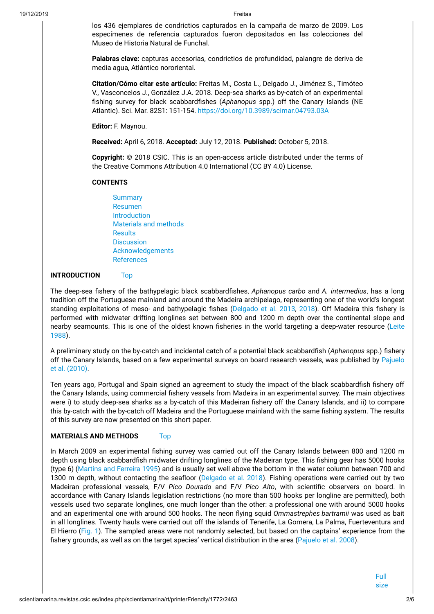los 436 ejemplares de condrictios capturados en la campaña de marzo de 2009. Los especímenes de referencia capturados fueron depositados en las colecciones del Museo de Historia Natural de Funchal.

**Palabras clave:** capturas accesorias, condrictios de profundidad, palangre de deriva de media agua, Atlántico nororiental.

**Citation/Cómo citar este artículo:** Freitas M., Costa L., Delgado J., Jiménez S., Timóteo V., Vasconcelos J., González J.A. 2018. Deep-sea sharks as by-catch of an experimental fishing survey for black scabbardfishes (Aphanopus spp.) off the Canary Islands (NE Atlantic). Sci. Mar. 82S1: 151-154. <https://doi.org/10.3989/scimar.04793.03A>

**Editor:** F. Maynou.

**Received:** April 6, 2018. **Accepted:** July 12, 2018. **Published:** October 5, 2018.

**Copyright:** © 2018 CSIC. This is an open-access article distributed under the terms of the Creative Commons Attribution 4.0 International (CC BY 4.0) License.

#### **CONTENTS**

**[Summary](#page-0-0)** [Resumen](#page-0-1) [Introduction](#page-1-0) Materials [and methods](#page-1-1) **[Results](#page-2-0) [Discussion](#page-4-0)** [Acknowledgements](#page-4-1) [References](#page-4-2)

# <span id="page-1-0"></span>**INTRODUCTION** Top

The deep-sea fishery of the bathypelagic black scabbardfishes, *Aphanopus carbo* and *A. intermedius*, has a long tradition off the Portuguese mainland and around the Madeira archipelago, representing one of the world's longest standing exploitations of meso- and bathypelagic fishes (Delgado et al. 2013, 2018). Off Madeira this fishery is performed with midwater drifting longlines set between 800 and 1200 m depth over the continental slope and nearby seamounts. This is one of the oldest known fisheries in the world targeting a deep-water resource (Leite 1988).

A preliminary study on the by-catch and incidental catch of a potential black scabbardfish (Aphanopus spp.) fishery off the Canary Islands, based on a few experimental surveys on board research vessels, was published by Pajuelo et al. (2010).

Ten years ago, Portugal and Spain signed an agreement to study the impact of the black scabbardfish fishery off the Canary Islands, using commercial fishery vessels from Madeira in an experimental survey. The main objectives were i) to study deep-sea sharks as a by-catch of this Madeiran fishery off the Canary Islands, and ii) to compare this by-catch with the by-catch off Madeira and the Portuguese mainland with the same fishing system. The results of this survey are now presented on this short paper.

# <span id="page-1-1"></span>**MATERIALS AND METHODS** Top

<span id="page-1-3"></span><span id="page-1-2"></span>In March 2009 an experimental fishing survey was carried out off the Canary Islands between 800 and 1200 m depth using black scabbardfish midwater drifting longlines of the Madeiran type. This fishing gear has 5000 hooks (type 6) (Martins and Ferreira 1995) and is usually set well above the bottom in the water column between 700 and 1300 m depth, without contacting the seafloor (Delgado et al. 2018). Fishing operations were carried out by two Madeiran professional vessels, F/V *Pico Dourado* and F/V *Pico Alto*, with scientic observers on board. In accordance with Canary Islands legislation restrictions (no more than 500 hooks per longline are permitted), both vessels used two separate longlines, one much longer than the other: a professional one with around 5000 hooks and an experimental one with around 500 hooks. The neon flying squid *Ommastrephes bartramii* was used as bait in all longlines. Twenty hauls were carried out off the islands of Tenerife, La Gomera, La Palma, Fuerteventura and El Hierro [\(Fig.](#page-1-2) 1). The sampled areas were not randomly selected, but based on the captains' experience from the fishery grounds, as well as on the target species' vertical distribution in the area (Pajuelo et al. 2008).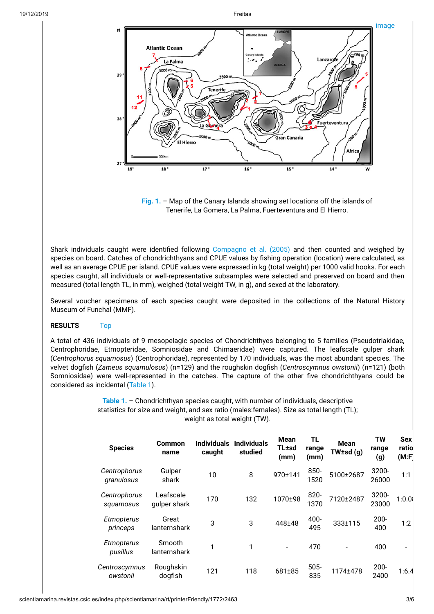

**[Fig. 1.](#page-1-3)** – Map of the Canary Islands showing set locations off the islands of Tenerife, La Gomera, La Palma, Fuerteventura and El Hierro.

Shark individuals caught were identified following Compagno et al. (2005) and then counted and weighed by species on board. Catches of chondrichthyans and CPUE values by fishing operation (location) were calculated, as well as an average CPUE per island. CPUE values were expressed in kg (total weight) per 1000 valid hooks. For each species caught, all individuals or well-representative subsamples were selected and preserved on board and then measured (total length TL, in mm), weighed (total weight TW, in g), and sexed at the laboratory.

Several voucher specimens of each species caught were deposited in the collections of the Natural History Museum of Funchal (MMF).

# <span id="page-2-0"></span>**RESULTS** Top

A total of 436 individuals of 9 mesopelagic species of Chondrichthyes belonging to 5 families (Pseudotriakidae, Centrophoridae, Etmopteridae, Somniosidae and Chimaeridae) were captured. The leafscale gulper shark (*Centrophorus squamosus*) (Centrophoridae), represented by 170 individuals, was the most abundant species. The velvet dogfish (*Zameus squamulosus*) (n=129) and the roughskin dogfish (*Centroscymnus owstonii*) (n=121) (both Somniosidae) were well-represented in the catches. The capture of the other five chondrichthyans could be considered as incidental [\(Table 1](#page-2-1)).

> <span id="page-2-2"></span><span id="page-2-1"></span>**[Table 1.](#page-2-2)** – Chondrichthyan species caught, with number of individuals, descriptive statistics for size and weight, and sex ratio (males:females). Size as total length (TL); weight as total weight (TW).

| <b>Species</b>             | <b>Common</b><br>name     | <b>Individuals</b><br>caught | <b>Individuals</b><br>studied | <b>Mean</b><br><b>TL</b> tsd<br>(mm) | TL<br>range<br>(mm) | <b>Mean</b><br>$TW \text{tsd}(q)$ | <b>TW</b><br>range<br>(g) | <b>Sex</b><br>ratio<br>(M: F) |  |
|----------------------------|---------------------------|------------------------------|-------------------------------|--------------------------------------|---------------------|-----------------------------------|---------------------------|-------------------------------|--|
| Centrophorus<br>granulosus | Gulper<br>shark           | 10                           | 8                             | 970±141                              | $850 -$<br>1520     | 5100±2687                         | 3200-<br>26000            | 1:1                           |  |
| Centrophorus<br>squamosus  | Leafscale<br>quiper shark | 170                          | 132                           | 1070±98                              | $820 -$<br>1370     | 7120±2487                         | 3200-<br>23000            | 1:0.01                        |  |
| Etmopterus<br>princeps     | Great<br>lanternshark     | 3                            | 3                             | 448±48                               | 400-<br>495         | 333±115                           | $200 -$<br>400            | 1:2                           |  |
| Etmopterus<br>pusillus     | Smooth<br>lanternshark    | 1                            | 1                             | $\blacksquare$                       | 470                 |                                   | 400                       | $\overline{\phantom{0}}$      |  |
| Centroscymnus<br>owstonii  | Roughskin<br>dogfish      | 121                          | 118                           | 681±85                               | $505 -$<br>835      | 1174±478                          | $200 -$<br>2400           | 1:6.4                         |  |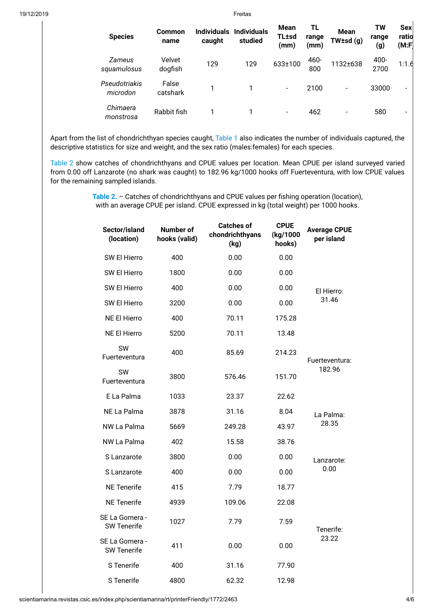| <b>Species</b>            | <b>Common</b><br>name | <b>Individuals</b><br>caught | <b>Individuals</b><br>studied | Mean<br>TL±sd<br>(mm)    | ΤL<br>range<br>(mm) | <b>Mean</b><br>$TW \pm sd$ (g) | TW<br>range<br>(g) | <b>Sex</b><br>ratio<br>(M:F) |
|---------------------------|-----------------------|------------------------------|-------------------------------|--------------------------|---------------------|--------------------------------|--------------------|------------------------------|
| Zameus<br>squamulosus     | Velvet<br>dogfish     | 129                          | 129                           | 633±100                  | 460-<br>800         | 1132±638                       | 400-<br>2700       | 1:1.6                        |
| Pseudotriakis<br>microdon | False<br>catshark     | 1                            |                               | $\overline{\phantom{a}}$ | 2100                | $\overline{\phantom{a}}$       | 33000              | $\overline{\phantom{0}}$     |
| Chimaera<br>monstrosa     | Rabbit fish           |                              |                               | $\overline{\phantom{a}}$ | 462                 | $\overline{\phantom{a}}$       | 580                | $\overline{\phantom{0}}$     |

Apart from the list of chondrichthyan species caught, [Table 1](#page-2-1) also indicates the number of individuals captured, the descriptive statistics for size and weight, and the sex ratio (males:females) for each species.

<span id="page-3-1"></span>[Table 2](#page-3-0) show catches of chondrichthyans and CPUE values per location. Mean CPUE per island surveyed varied from 0.00 off Lanzarote (no shark was caught) to 182.96 kg/1000 hooks off Fuerteventura, with low CPUE values for the remaining sampled islands.

> <span id="page-3-0"></span>[Table 2.](#page-3-1) – Catches of chondrichthyans and CPUE values per fishing operation (location), with an average CPUE per island. CPUE expressed in kg (total weight) per 1000 hooks.

| Sector/island<br>(location)          | Number of<br>hooks (valid) | <b>Catches of</b><br>chondrichthyans<br>(kg) | <b>CPUE</b><br>(kg/1000<br>hooks) | <b>Average CPUE</b><br>per island |
|--------------------------------------|----------------------------|----------------------------------------------|-----------------------------------|-----------------------------------|
| SW El Hierro                         | 400                        | 0.00                                         | 0.00                              |                                   |
| SW El Hierro                         | 1800                       | 0.00                                         | 0.00                              |                                   |
| SW El Hierro                         | 400                        | 0.00                                         | 0.00                              | El Hierro:                        |
| SW El Hierro                         | 3200                       | 0.00                                         | 0.00                              | 31.46                             |
| <b>NE El Hierro</b>                  | 400                        | 70.11                                        | 175.28                            |                                   |
| <b>NE El Hierro</b>                  | 5200                       | 70.11                                        | 13.48                             |                                   |
| SW<br>Fuerteventura                  | 400                        | 85.69                                        | 214.23                            | Fuerteventura:                    |
| SW<br>Fuerteventura                  | 3800                       | 576.46                                       | 151.70                            | 182.96                            |
| E La Palma                           | 1033                       | 23.37                                        | 22.62                             |                                   |
| NE La Palma                          | 3878                       | 31.16                                        | 8.04                              | La Palma:                         |
| NW La Palma                          | 5669                       | 249.28                                       | 43.97                             | 28.35                             |
| NW La Palma                          | 402                        | 15.58                                        | 38.76                             |                                   |
| S Lanzarote                          | 3800                       | 0.00                                         | 0.00                              | Lanzarote:                        |
| S Lanzarote                          | 400                        | 0.00                                         | 0.00                              | 0.00                              |
| <b>NE</b> Tenerife                   | 415                        | 7.79                                         | 18.77                             |                                   |
| <b>NE</b> Tenerife                   | 4939                       | 109.06                                       | 22.08                             |                                   |
| SE La Gomera -<br><b>SW Tenerife</b> | 1027                       | 7.79                                         | 7.59                              | Tenerife:                         |
| SE La Gomera -<br><b>SW Tenerife</b> | 411                        | 0.00                                         | 0.00                              | 23.22                             |
| S Tenerife                           | 400                        | 31.16                                        | 77.90                             |                                   |
| S Tenerife                           | 4800                       | 62.32                                        | 12.98                             |                                   |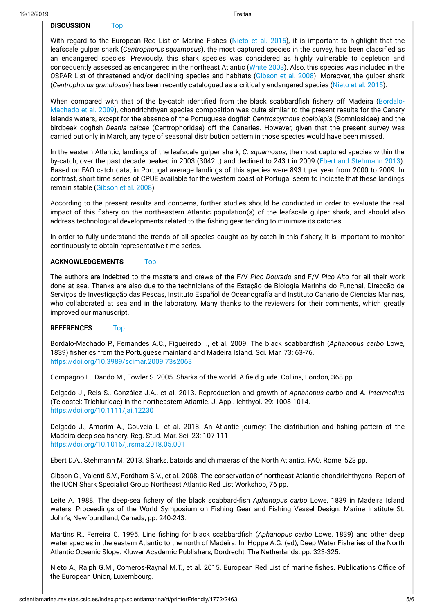# <span id="page-4-0"></span>**DISCUSSION** Top

With regard to the European Red List of Marine Fishes (Nieto et al. 2015), it is important to highlight that the leafscale gulper shark (*Centrophorus squamosus*), the most captured species in the survey, has been classified as an endangered species. Previously, this shark species was considered as highly vulnerable to depletion and consequently assessed as endangered in the northeast Atlantic (White 2003). Also, this species was included in the OSPAR List of threatened and/or declining species and habitats (Gibson et al. 2008). Moreover, the gulper shark (*Centrophorus granulosus*) has been recently catalogued as a critically endangered species (Nieto et al. 2015).

When compared with that of the by-catch identified from the black scabbardfish fishery off Madeira (Bordalo-Machado et al. 2009), chondrichthyan species composition was quite similar to the present results for the Canary Islands waters, except for the absence of the Portuguese dogfish *Centroscymnus coelolepis* (Somniosidae) and the birdbeak dogfish *Deania calcea* (Centrophoridae) off the Canaries. However, given that the present survey was carried out only in March, any type of seasonal distribution pattern in those species would have been missed.

In the eastern Atlantic, landings of the leafscale gulper shark, *C. squamosus*, the most captured species within the by-catch, over the past decade peaked in 2003 (3042 t) and declined to 243 t in 2009 (Ebert and Stehmann 2013). Based on FAO catch data, in Portugal average landings of this species were 893 t per year from 2000 to 2009. In contrast, short time series of CPUE available for the western coast of Portugal seem to indicate that these landings remain stable (Gibson et al. 2008).

According to the present results and concerns, further studies should be conducted in order to evaluate the real impact of this fishery on the northeastern Atlantic population(s) of the leafscale gulper shark, and should also address technological developments related to the fishing gear tending to minimize its catches.

In order to fully understand the trends of all species caught as by-catch in this fishery, it is important to monitor continuously to obtain representative time series.

#### <span id="page-4-1"></span>**ACKNOWLEDGEMENTS** Top

The authors are indebted to the masters and crews of the F/V *Pico Dourado* and F/V *Pico Alto* for all their work done at sea. Thanks are also due to the technicians of the Estação de Biologia Marinha do Funchal, Direcção de Serviços de Investigação das Pescas, Instituto Español de Oceanografía and Instituto Canario de Ciencias Marinas, who collaborated at sea and in the laboratory. Many thanks to the reviewers for their comments, which greatly improved our manuscript.

# <span id="page-4-2"></span>**REFERENCES** Top

Bordalo-Machado P., Fernandes A.C., Figueiredo I., et al. 2009. The black scabbardfish (Aphanopus carbo Lowe, 1839) fisheries from the Portuguese mainland and Madeira Island. Sci. Mar. 73: 63-76. <https://doi.org/10.3989/scimar.2009.73s2063>

Compagno L., Dando M., Fowler S. 2005. Sharks of the world. A field guide. Collins, London, 368 pp.

Delgado J., Reis S., González J.A., et al. 2013. Reproduction and growth of *Aphanopus carbo* and *A. intermedius* (Teleostei: Trichiuridae) in the northeastern Atlantic. J. Appl. Ichthyol. 29: 1008-1014. <https://doi.org/10.1111/jai.12230>

Delgado J., Amorim A., Gouveia L. et al. 2018. An Atlantic journey: The distribution and fishing pattern of the Madeira deep sea fishery. Reg. Stud. Mar. Sci. 23: 107-111. <https://doi.org/10.1016/j.rsma.2018.05.001>

Ebert D.A., Stehmann M. 2013. Sharks, batoids and chimaeras of the North Atlantic. FAO. Rome, 523 pp.

Gibson C., Valenti S.V., Fordham S.V., et al. 2008. The conservation of northeast Atlantic chondrichthyans. Report of the IUCN Shark Specialist Group Northeast Atlantic Red List Workshop, 76 pp.

Leite A. 1988. The deep-sea fishery of the black scabbard-fish Aphanopus carbo Lowe, 1839 in Madeira Island waters. Proceedings of the World Symposium on Fishing Gear and Fishing Vessel Design. Marine Institute St. John's, Newfoundland, Canada, pp. 240-243.

Martins R., Ferreira C. 1995. Line fishing for black scabbardfish (Aphanopus carbo Lowe, 1839) and other deep water species in the eastern Atlantic to the north of Madeira. In: Hoppe A.G. (ed), Deep Water Fisheries of the North Atlantic Oceanic Slope. Kluwer Academic Publishers, Dordrecht, The Netherlands. pp. 323-325.

Nieto A., Ralph G.M., Comeros-Raynal M.T., et al. 2015. European Red List of marine fishes. Publications Office of the European Union, Luxembourg.